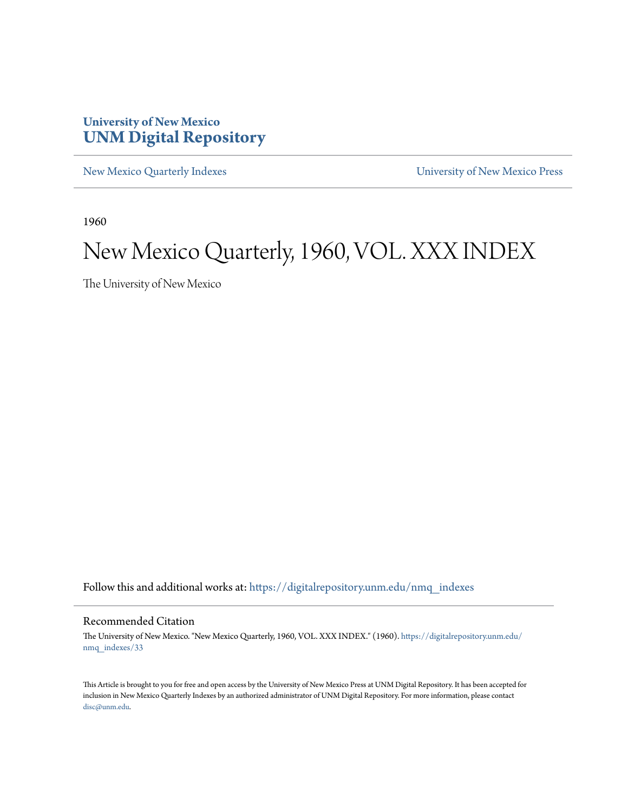## **University of New Mexico [UNM Digital Repository](https://digitalrepository.unm.edu?utm_source=digitalrepository.unm.edu%2Fnmq_indexes%2F33&utm_medium=PDF&utm_campaign=PDFCoverPages)**

[New Mexico Quarterly Indexes](https://digitalrepository.unm.edu/nmq_indexes?utm_source=digitalrepository.unm.edu%2Fnmq_indexes%2F33&utm_medium=PDF&utm_campaign=PDFCoverPages) [University of New Mexico Press](https://digitalrepository.unm.edu/press?utm_source=digitalrepository.unm.edu%2Fnmq_indexes%2F33&utm_medium=PDF&utm_campaign=PDFCoverPages)

1960

# New Mexico Quarterly, 1960, VOL. XXX INDEX

The University of New Mexico

Follow this and additional works at: [https://digitalrepository.unm.edu/nmq\\_indexes](https://digitalrepository.unm.edu/nmq_indexes?utm_source=digitalrepository.unm.edu%2Fnmq_indexes%2F33&utm_medium=PDF&utm_campaign=PDFCoverPages)

#### Recommended Citation

The University of New Mexico. "New Mexico Quarterly, 1960, VOL. XXX INDEX." (1960). [https://digitalrepository.unm.edu/](https://digitalrepository.unm.edu/nmq_indexes/33?utm_source=digitalrepository.unm.edu%2Fnmq_indexes%2F33&utm_medium=PDF&utm_campaign=PDFCoverPages) [nmq\\_indexes/33](https://digitalrepository.unm.edu/nmq_indexes/33?utm_source=digitalrepository.unm.edu%2Fnmq_indexes%2F33&utm_medium=PDF&utm_campaign=PDFCoverPages)

This Article is brought to you for free and open access by the University of New Mexico Press at UNM Digital Repository. It has been accepted for inclusion in New Mexico Quarterly Indexes by an authorized administrator of UNM Digital Repository. For more information, please contact [disc@unm.edu](mailto:disc@unm.edu).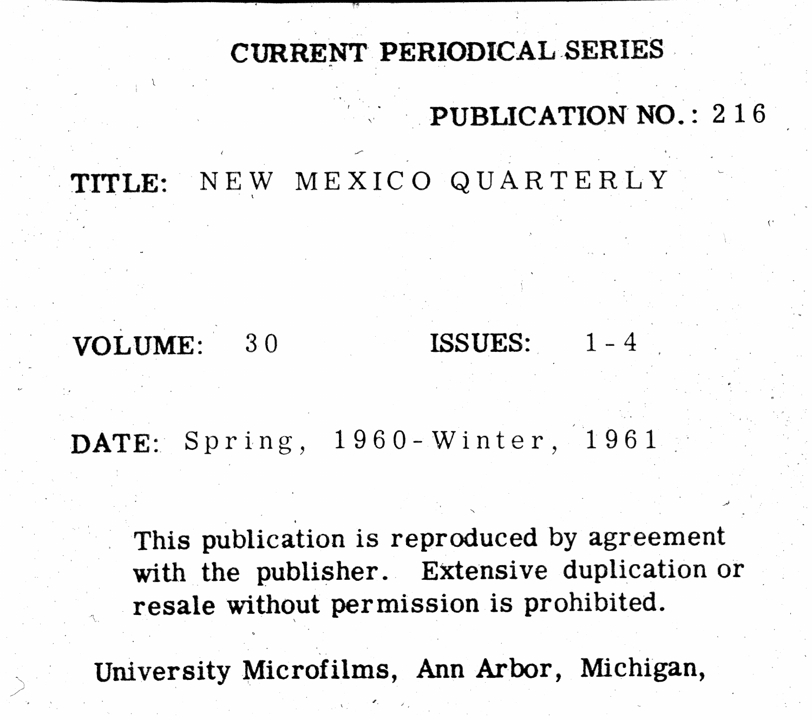# CURRENT PERIODICAL SERIES

TITLE: NEW MEXICO QUARTERLY

VOLUME:  $30$ 

DATE: Spring, 1960-Winter, 1961

This publication is reproduced by agreement with the publisher. Extensive duplication or resale without permission is prohibited.

# PUBLICATION NO.: 216

# ISSUES:

University Microfilms, Ann Arbor, Michigan,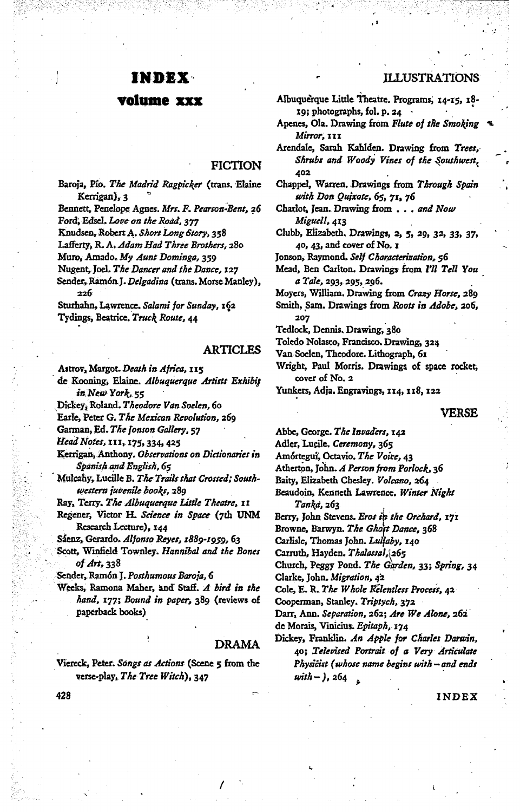#### INDEX-

#### volume xxx

#### **FICTION**

Baroja, Pío. The Madrid Ragpicker (trans. Elaine Kerrigan), 3 Bennett, Penelope Agnes. Mrs. F. Pearson-Bent, 26

Ford, Edsel. Love on the Road, 377 Knudsen, Robert A. Short Long Story, 358

Lafferty, R. A. Adam Had Three Brothers, 280

Muro, Amado. My Aunt Dominga, 359

Nugent, Joel. The Dancer and the Dance, 127

Sender, Ramón J. Delgadina (trans. Morse Manley),  $226$ 

Sturhahn, Lawrence. Salami for Sunday, 162 Tydings, Beatrice. Truck Route, 44

#### **ARTICLES**

Astrov, Margot. Death in Africa, 115

de Kooning, Elaine. Albuquerque Artists Exhibit in New York, 55

Dickey, Roland. Theodore Van Soelen, 60

Earle, Peter G. The Mexican Revolution, 269

Garman, Ed. The Jonson Gallery, 57

Head Notes, 111, 175, 334, 425

Kerrigan, Anthony. Observations on Dictionaries in Spanish and English, 65

Mulcahy, Lucille B. The Trails that Crossed; Southwestern juvenile books, 289

Ray, Terry. The Albuquerque Little Theatre, 11

Regener, Victor H. Science in Space (7th UNM Research Lecture), 144

Sáenz, Gerardo. Alfonso Reyes, 1889-1959, 63

Scott, Winfield Townley. Hannibal and the Bones of Art. 338

Sender, Ramón J. Posthumous Baroja, 6

Weeks, Ramona Maher, and Staff. A bird in the hand, 177; Bound in paper, 389 (reviews of paperback books)

#### **DRAMA**

Viereck, Peter. Songs as Actions (Scene 5 from the verse-play, The Tree Witch), 347

**ILLUSTRATIONS** 

Albuquerque Little Theatre. Programs, 14-15, 18-19; photographs, fol. p. 24  $\cdot$ 

- Apenes, Ola. Drawing from Flute of the Smoking Mirror, III
- Arendale, Sarah Kahlden. Drawing from Trees, Shrubs and Woody Vines of the Southwest, 402
- Chappel, Warren. Drawings from Through Spain with Don Quixote, 65, 71, 76
- Charlot, Jean. Drawing from . . . and Now Miguell, 413
- Clubb, Elizabeth. Drawings, 2, 5, 29, 32, 33, 37, 40, 43, and cover of No. 1
- Jonson, Raymond. Self Characterization, 56
- Mead, Ben Carlton. Drawings from I'll Tell You a Tale, 293, 295, 296.

Moyers, William. Drawing from Crazy Horse, 289

Smith, Sam. Drawings from Roots in Adobe, 206, 207

Tedlock, Dennis. Drawing, 380

- Toledo Nolasco, Francisco. Drawing, 324
- Van Soelen, Theodore. Lithograph, 61

Wright, Paul Morris. Drawings of space rocket, cover of No. 2

Yunkers, Adja. Engravings, 114, 118, 122

#### **VERSE**

Abbe, George. The Invaders, 142

Adler, Lucile, Ceremony, 365

Amórtegui, Octavio. The Voice, 43

Atherton, John. A Person from Porlock, 36

Baity, Elizabeth Chesley. Volcano, 264

- Beaudoin, Kenneth Lawrence. Winter Night Tanka, 263
- Berry, John Stevens. Eros in the Orchard, 171

Browne, Barwyn. The Ghost Dance, 368

Carlisle, Thomas John. Lullaby, 140

Carruth, Hayden. Thalassal, 265

Church, Peggy Pond. The Garden, 33; Spring, 34

Clarke, John. Migration, 42

Cole, E. R. The Whole Relentless Process, 42

Cooperman, Stanley. Triptych, 372

Darr, Ann. Separation, 262; Are We Alone, 262

de Morais, Vinicius. Epitaph, 174

Dickey, Franklin. An Apple for Charles Darwin, 40; Televised Portrait of a Very Articulate Physicist (whose name begins with - and ends  $with -$ ),  $264$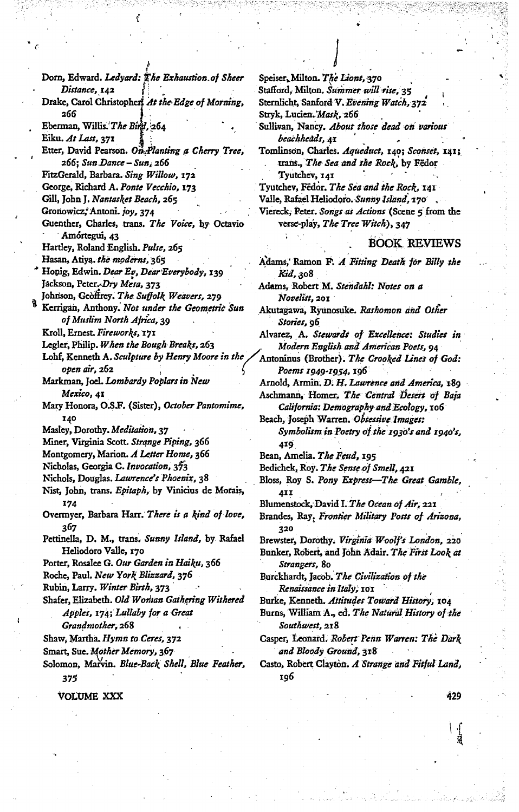Dorn, Edward. Ledyard: The Exhaustion of Sheer Distance, 142 Drake, Carol Christophers At the Edge of Morning, 266 Eberman, Willis.'The Bird, 264 Eiku. At Last, 371 Etter, David Pearson. On Planting a Cherry Tree, 266; Sun Dance - Sun, 266 FitzGerald, Barbara. Sing Willow, 172 George, Richard A. Ponte Vecchio, 173 Gill, John J. Nantasket Beach, 265 Gronowicz, Antoni. joy, 374 Guenther, Charles, trans. The Voice, by Octavio Amórtegui, 43 Hartley, Roland English. Pulse, 265 Hasan, Atiya. the moderns, 365 Honig, Edwin. Dear Ev, Dear Everybody, 139 Jackson, Peter. Dry Mesa, 373 Johnson, Geoffrey. The Suffolk Weavers, 279 Kerrigan, Anthony. Not under the Geometric Sun of Muslim North Africa, 39 Kroll, Ernest. Fireworks, 171 Legler, Philip. When the Bough Breaks, 263 Lohf, Kenneth A. Sculpture by Henry Moore in th open air, 262 Markman, Joel. Lombardy Poplars in New Mexico, 41 Mary Honora, O.S.F. (Sister), October Pantomime, 140 Masley, Dorothy. Meditation, 37 Miner, Virginia Scott. Strange Piping, 366 Montgomery, Marion. A Letter Home, 366 Nicholas, Georgia C. Invocation, 373 Nichols, Douglas. Lawrence's Phoenix, 38 Nist, John, trans. Epitaph, by Vinicius de Morais, 174 Overmyer, Barbara Harr. There is a kind of love, 367 Pettinella, D. M., trans. Sunny Island, by Rafael Heliodoro Valle, 170 Porter, Rosalee G. Our Garden in Haiku, 366 Roche, Paul. New York Blizzard, 376 Rubin, Larry. Winter Birth, 373 Shafer, Elizabeth. Old Wontan Gathering Withered Apples, 174; Lullaby for a Great Grandmother, 268 Shaw, Martha. Hymn to Ceres, 372 Smart, Sue. Mother Memory, 367 Solomon, Marvin. Blue-Back Shell, Blue Feather, 375

VOLUME XXX

Speiser, Milton. The Lions, 370 Stafford, Milton. Summer will rise, 35 Sternlicht, Sanford V. Evening Watch, 372 Stryk, Lucien. Mask, 266 Sullivan, Nancy. About those dead on various beachheàds, AI Tomlinson, Charles. Aqueduct, 140; Sconset, 141; trans., The Sea and the Rock, by Fedor Tyutchev, 141 Tyutchev, Fedor. The Sea and the Rock, 141 Valle, Rafael Heliodoro. Sunny Island, 170, Viereck, Peter. Songs as Actions (Scene 5 from the

**BOOK REVIEWS** 

Adams, Ramon F. A Fitting Death for Billy the *Kid,* 308

Adams, Robert M. Stendahl: Notes on a Novelist, 201

verse-play, The Tree Witch), 347

Akutagawa, Ryunosuke. Rashomon and Other Stories, 96

Alvarez, A. Stewards of Excellence: Studies in Modern English and American Poets, 94

Antoninus (Brother). The Crooked Lines of God: Poems 1949-1954, 196

Arnold, Armin. D. H. Lawrence and America, 189

Aschmann, Homer, The Central Desert of Baja California: Demography and Ecology, 106

Beach, Joseph Warren. Obsessive Images: Symbolism in Poetry of the 1930's and 1940's, 419

Bean, Amelia. The Feud, 195

Bedichek, Roy. The Sense of Smell, 421

Bloss, Roy S. Pony Express-The Great Gamble, 41 I

Blumenstock, David I. The Ocean of Air, 221

Brandes, Ray, Frontier Military Posts of Arizona, 320

Brewster, Dorothy. Virginia Woolf's London, 220 Bunker, Robert, and John Adair. The First Look at Strangers, 80

Burckhardt, Jacob. The Civilization of the Renaissance in Italy, 101

Burke, Kenneth. Attitudes Toward History, 104

Burns, William A., ed. The Natural History of the Southwest, 218

Casper, Leonard. Robert Penn Warren: The Dark and Bloody Ground, 318

Casto, Robert Clayton. A Strange and Fitful Land, 196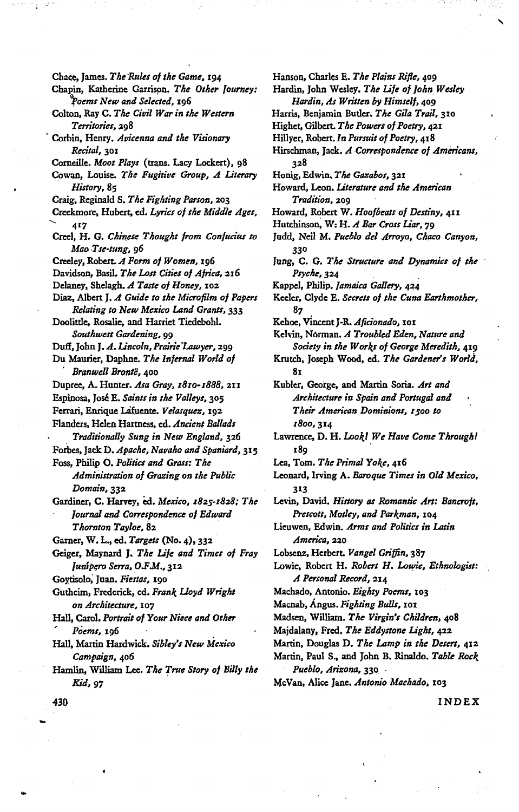Chace, James. The Rules of the Game, 194 Chapin, Katherine Garrison. The Other Journey: Poems New and Selected, 196 Colton, Ray C. The Civil War in the Western Territories, 298 Corbin, Henry. Avicenna and the Visionary Recital, 301 Corneille. Moot Plays (trans. Lacy Lockert), 98 Cowan, Louise. The Fugitive Group, A Literary History, 85 Craig, Reginald S. The Fighting Parson, 203 Creekmore, Hubert, ed. Lyrics of the Middle Ages, 417 Creel, H. G. Chinese Thought from Confucius to Mao Tse-tung, 96 Creeley, Robert. A Form of Women, 196 Davidson, Basil. The Lost Cities of Africa, 216 Delaney, Shelagh. A Taste of Honey, 102 Diaz, Albert J. A Guide to the Microfilm of Papers Relating to New Mexico Land Grants, 333 Doolittle, Rosalie, and Harriet Tiedebohl. Southwest Gardening, 99 Duff, John J. A. Lincoln, Prairie'Lawyer, 299 Du Maurier, Daphne. The Infernal World of Branwell Brontë, 400 Dupree, A. Hunter. Asa Gray, 1810-1888, 211 Espinosa, José E. Saints in the Valleys, 305 Ferrari, Enrique Lafuente. Velasquez, 192 Flanders, Helen Hartness, ed. Ancient Ballads Traditionally Sung in New England, 326 Forbes, Jack D. Apache, Navaho and Spaniard, 315 Foss, Philip O. Politics and Grass: The Administration of Grazing on the Public Domain, 332 Gardiner, C. Harvey, ed. Mexico, 1825-1828; The Journal and Correspondence of Edward Thornton Tayloe, 82 Garner, W. L., ed. Targets (No. 4), 332 Geiger, Maynard J. The Life and Times of Fray Junipero Serra, O.F.M., 312 Goytisolo, Juan. Fiestas, 190 Gutheim, Frederick, ed. Frank Lloyd Wright on Architecture, 107 Hall, Carol. Portrait of Your Niece and Other Poems, 196 Hall, Martin Hardwick. Sibley's New Mexico Campaign, 406 Hamlin, William Lee. The True Story of Billy the

Hanson, Charles E. The Plains Rifle, 409 Hardin, John Wesley. The Life of John Wesley Hardin, As Written by Himself, 409 Harris, Benjamin Butler. The Gila Trail, 310 Highet, Gilbert. The Powers of Poetry, 421 Hillyer, Robert. In Pursuit of Poetry, 418 Hirschman, Jack. A Correspondence of Americans, 328 Honig, Edwin, The Gazabos, 321 Howard, Leon. Literature and the American Tradition, 209 Howard, Robert W. Hoofbeats of Destiny, 411 Hutchinson, W: H. A Bar Cross Liar, 79 Judd, Neil M. Pueblo del Arroyo, Chaco Canyon, 330 Jung, C. G. The Structure and Dynamics of the Psyche, 324 Kappel, Philip. Jamaica Gallery, 424 Keeler, Clyde E. Secrets of the Cuna Earthmother, 87 Kehoe, Vincent J-R. Aficionado, 101 Kelvin, Norman. A Troubled Eden, Nature and Society in the Works of George Meredith, 419 Krutch, Joseph Wood, ed. The Gardener's World, 81 Kubler, George, and Martin Soria. Art and Architecture in Spain and Portugal and Their American Dominions, 1500 to 1800, 314 Lawrence, D. H. Lookl We Have Come Through! 189 Lea, Tom. The Primal Yoke, 416 Leonard, Irving A. Baroque Times in Old Mexico, 313 Levin, David. History as Romantic Art: Bancroft, Prescott, Motley, and Parkman, 104 Lieuwen, Edwin. Arms and Politics in Latin America, 220 Lobsenz, Herbert. Vangel Griffin, 387 Lowie, Robert H. Robert H. Lowie, Ethnologist: A Personal Record, 214 Machado, Antonio. Eighty Poems, 103 Macnab, Angus. Fighting Bulls, 101 Madsen, William. The Virgin's Children, 408 Majdalany, Fred, The Eddystone Light, 422 Martin, Douglas D. The Lamp in the Desert, 412 Martin, Paul S., and John B. Rinaldo. Table Rock Pueblo, Arizona, 330. McVan, Alice Jane, Antonio Machado, 103

430

Kid, 97

INDEX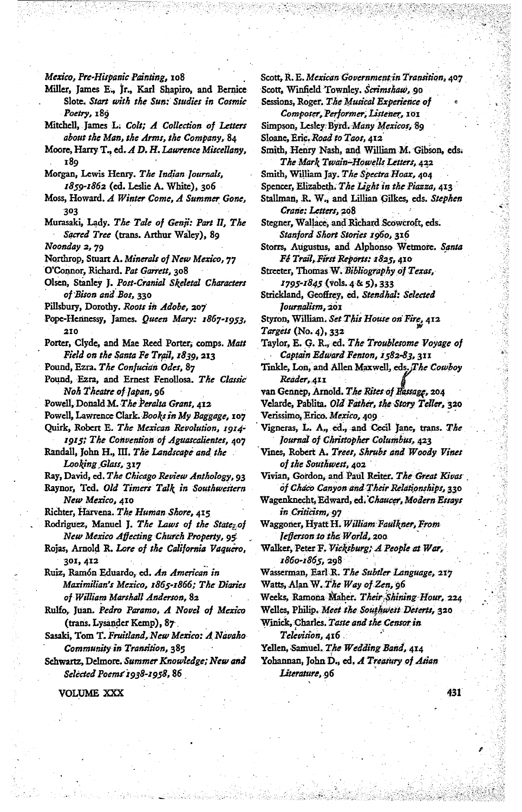Mexico, Pre-Hispanic Painting, 108

- Miller, James E., Jr., Karl Shapiro, and Bernice Slote. Start with the Sun: Studies in Cosmic Poetry, 189
- Mitchell, James L. Colt; A Collection of Letters about the Man, the Arms, the Company, 84
- Moore, Harry T., ed. A D. H. Lawrence Miscellany, **189**
- Morgan, Lewis Henry. The Indian Journals, 1859-1862 (ed. Leslie A. White), 306
- Moss, Howard. A Winter Come, A Summer Gone,
- Murasaki, Lady. The Tale of Genji: Part II, The Sacred Tree (trans. Arthur Waley), 89

Noonday 2, 79

- Northrop, Stuart A. Minerals of New Mexico, 77
- O'Connor, Richard. Pat Garrett, 308
- Olsen, Stanley J. Post-Cranial Skeletal Characters of Bison and Bos, 330
- Pillsbury, Dorothy. Roots in Adobe, 207
- Pope-Hennessy, James. Queen Mary: 1867-1953, 210
- Porter, Clyde, and Mae Reed Porter, comps. Matt Field on the Santa Fe Trail, 1839, 213
- Pound, Ezra. The Confucian Odes, 87
- Pound, Ezra, and Ernest Fenollosa. The Classic Noh Theatre of Japan, 96
- Powell, Donald M. The Peralta Grant, 412

Powell, Lawrence Clark. Books in My Baggage, 107 Ouirk, Robert E. The Mexican Revolution, 1914-

- 1915; The Convention of Aguascalientes, 407 Randall, John H., III. The Landscape and the Looking Glass, 317
- Ray, David, ed. The Chicago Review Anthology, 93

Raynor, Ted. Old Timers Talk in Southwestern New Mexico, 410

Richter, Harvena. The Human Shore, 415

- Rodriguez, Manuel J. The Laws of the State; of New Mexico Affecting Church Property, 95
- Rojas, Arnold R. Lore of the California Vaquero, 301, 412
- Ruiz, Ramón Eduardo, ed. An American in Maximilian's Mexico, 1865-1866; The Diaries of William Marshall Anderson, 82
- Rulfo, Juan. Pedro Paramo, A Novel of Mexico (trans. Lysander Kemp), 87
- Sasaki, Tom T. Fruitland, New Mexico: A Navaho Community in Transition, 385
- Schwartz, Delmore. Summer Knowledge; New and Selected Poems 1938-1958, 86

VOLUME XXX

Scott, R. E. Mexican Government in Transition, 407 Scott, Winfield Townley, Scrimshaw, 90

Sessions, Roger. The Musical Experience of Composer, Performer, Listener, 101

Simpson, Lesley Byrd. Many Mexicos, 89 Sloane, Eric. Road to Taos, 412

- Smith, Henry Nash, and William M. Gibson, eds. The Mark Twain-Howells Letters, 422
- Smith, William Jay. The Spectra Hoax, 404
- Spencer, Elizabeth, The Light in the Piazza, 413
- Stallman, R. W., and Lillian Gilkes, eds. Stephen

Crane: Letters, 208

- Stegner, Wallace, and Richard Scowcroft, eds. Stanford Short Stories 1960, 316
- Storrs, Augustus, and Alphonso Wetmore. Santa Fé Trail, First Reports: 1825, 410
- Streeter, Thomas W. Bibliography of Texas, 1795-1845 (vols. 4 & 5), 333
- Strickland, Geoffrey, ed. Stendhal: Selected Journalism, 201
- Styron, William. Set This House on Fire, 412 Targets (No. 4), 332
- Taylor, E. G. R., ed. The Troublesome Voyage of Captain Edward Fenton, 1582-83, 311
- Tinkle, Lon, and Allen Maxwell, eds. The Cowboy Reader, 411
- van Gennep, Arnold. The Rites of Fassage, 204
- Velarde, Pablita. Old Father, the Story Teller, 320 Verissimo, Erico. Mexico, 409
- Vigneras, L. A., ed., and Cecil Jane, trans. The Journal of Christopher Columbus, 423
- Vines, Robert A. Trees, Shrubs and Woody Vines of the Southwest, 402
- Vivian, Gordon, and Paul Reiter. The Great Kivas of Chaco Canyon and Their Relationships, 330
- Wagenknecht, Edward, ed. Chaucer, Modern Essays in Criticism, 97
- Waggoner, Hyatt H. William Faulkner, From lefterson to the World, 200
- Walker, Peter F. Vicksburg; A People at War, 1860-1865, 298
- Wasserman, Earl R. The Subtler Language, 217 Watts, Alan W. The Way of Zen, 96
- Weeks, Ramona Maher. Their Shining Hour, 224
- Welles, Philip. Meet the Southwest Deserts, 320
- Winick, Charles. Taste and the Censor in

Television, 416

- Yellen, Samuel. The Wedding Band, 414
- Yohannan, John D., ed. A Treasury of Asian Literature, 96

431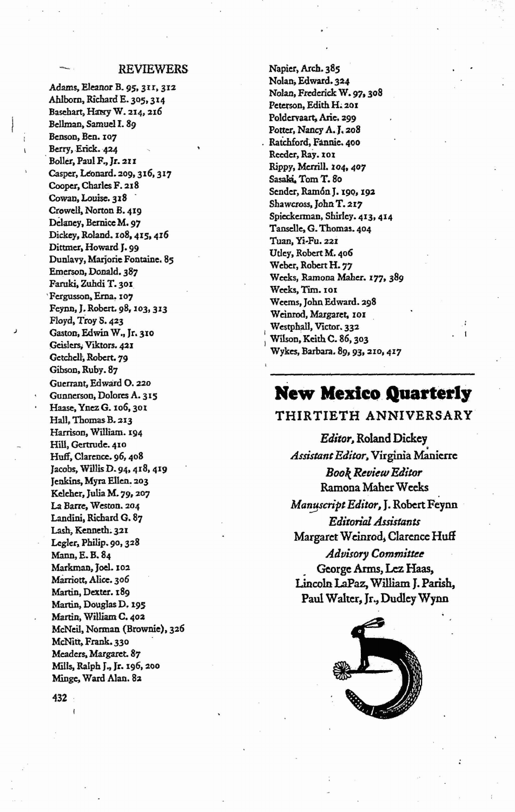#### **REVIEWERS**

Adams, Eleanor B. 95, 311, 312 Ahlborn, Richard E. 305, 314 Basehart, Hawy W. 214, 216 Bellman, Samuel I. 89 Benson, Ben. 107 Berry, Erick. 424 Boller, Paul F., Jr. 211 Casper, Leonard. 209, 316, 317 Cooper, Charles F. 218 Cowan, Louise. 318 Crowell, Norton B. 419 Delaney, Bernice M. 97 Dickey, Roland. 108, 415, 416 Dittmer, Howard J. 99 Dunlavy, Marjorie Fontaine. 85 Emerson, Donald. 387 Faruki, Zuhdi T. 301 Fergusson, Erna. 107 Feynn, J. Robert. 98, 103, 313 Floyd, Troy S. 423 Gaston, Edwin W., Jr. 310 Geislers, Viktors. 421 Getchell, Robert. 79 Gibson, Ruby. 87 Guerrant, Edward O. 220 Gunnerson, Dolores A. 315 Haase, Ynez G. 106, 301 Hall, Thomas B. 213 Harrison, William. 194 Hill, Gertrude. 410 Huff, Clarence, 96, 408 Jacobs, Willis D. 94, 418, 419 Jenkins, Myra Ellen. 203 Keleher, Julia M. 79, 207 La Barre, Weston. 204 Landini, Richard G. 87 Lash, Kenneth. 321 Legler, Philip. 90, 328 Mann, E. B. 84 Markman, Joel. 102 Marriott, Alice. 306 Martin, Dexter. 189 Martin, Douglas D. 195 Martin, William C. 402 McNeil, Norman (Brownie), 326 McNitt, Frank. 330 Meaders, Margaret. 87 Mills, Ralph J., Jr. 196, 200 Minge, Ward Alan. 82

Napier, Arch. 385 Nolan, Edward. 324 Nolan, Frederick W. 97, 308 Peterson, Edith H. 201 Poldervaart, Arie, 299 Potter, Nancy A.J. 208 Ratchford, Fannie. 400 Reeder, Ray. 101 Rippy, Merrill. 104, 407 Sasaki, Tom T. 80 Sender, Ramón J. 190, 192 Shawcross, John T. 217 Spieckerman, Shirley. 413, 414 Tanselle, G. Thomas. 404 Tuan, Yi-Fu. 221 Utley, Robert M. 406 Weber, Robert H. 77 Weeks, Ramona Maher. 177, 389 Weeks, Tim. 101 Weems, John Edward. 298 Weinrod, Margaret, 101 Westphall, Victor, 332 Wilson, Keith C. 86, 303 Wykes, Barbara. 89, 93, 210, 417

## **New Mexico Quarterly**

#### THIRTIETH ANNIVERSARY

Editor, Roland Dickey Assistant Editor, Virginia Manierre **Book Review Editor Ramona Maher Weeks** Manuscript Editor, J. Robert Feynn **Editorial Assistants** Margaret Weinrod, Clarence Huff **Advisory Committee** George Arms, Lez Haas, Lincoln LaPaz, William J. Parish, Paul Walter, Jr., Dudley Wynn